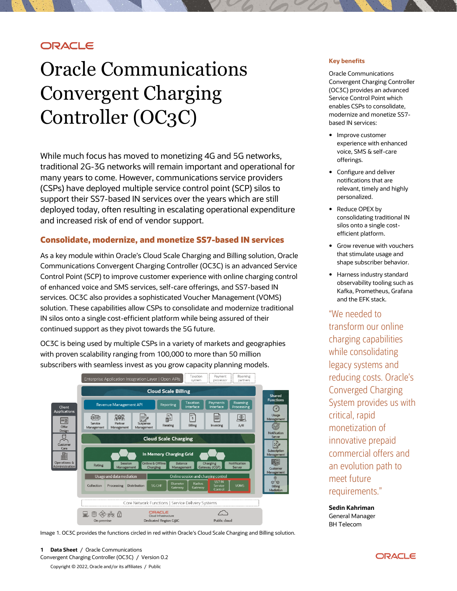# **ORACLE**

# Oracle Communications Convergent Charging Controller (OC3C)

While much focus has moved to monetizing 4G and 5G networks, traditional 2G-3G networks will remain important and operational for many years to come. However, communications service providers (CSPs) have deployed multiple service control point (SCP) silos to support their SS7-based IN services over the years which are still deployed today, often resulting in escalating operational expenditure and increased risk of end of vendor support.

# **Consolidate, modernize, and monetize SS7-based IN services**

As a key module within Oracle's Cloud Scale Charging and Billing solution, Oracle Communications Convergent Charging Controller (OC3C) is an advanced Service Control Point (SCP) to improve customer experience with online charging control of enhanced voice and SMS services, self-care offerings, and SS7-based IN services. OC3C also provides a sophisticated Voucher Management (VOMS) solution. These capabilities allow CSPs to consolidate and modernize traditional IN silos onto a single cost-efficient platform while being assured of their continued support as they pivot towards the 5G future.

OC3C is being used by multiple CSPs in a variety of markets and geographies with proven scalability ranging from 100,000 to more than 50 million subscribers with seamless invest as you grow capacity planning models.



Image 1. OC3C provides the functions circled in red within Oracle's Cloud Scale Charging and Billing solution.

## **Key benefits**

Oracle Communications Convergent Charging Controller (OC3C) provides an advanced Service Control Point which enables CSPs to consolidate, modernize and monetize SS7 based IN services:

- Improve customer experience with enhanced voice, SMS & self-care offerings.
- Configure and deliver notifications that are relevant, timely and highly personalized.
- Reduce OPEX by consolidating traditional IN silos onto a single costefficient platform.
- Grow revenue with vouchers that stimulate usage and shape subscriber behavior.
- Harness industry standard observability tooling such as Kafka, Prometheus, Grafana and the EFK stack.

"We needed to transform our online charging capabilities while consolidating legacy systems and reducing costs. Oracle's Converged Charging System provides us with critical, rapid monetization of innovative prepaid commercial offers and an evolution path to meet future requirements."

**Sedin Kahriman** General Manager BH Telecom

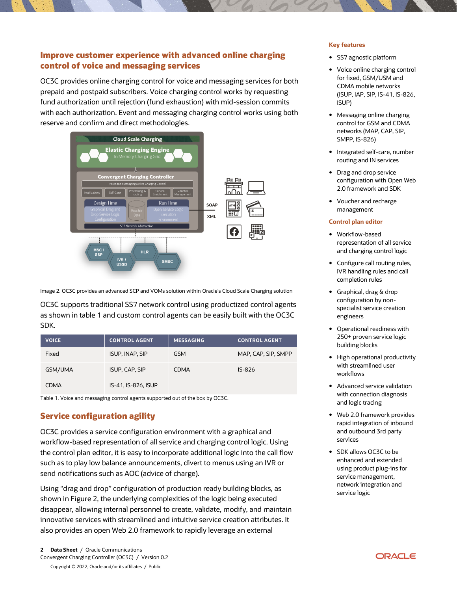# **Improve customer experience with advanced online charging control of voice and messaging services**

OC3C provides online charging control for voice and messaging services for both prepaid and postpaid subscribers. Voice charging control works by requesting fund authorization until rejection (fund exhaustion) with mid-session commits with each authorization. Event and messaging charging control works using both reserve and confirm and direct methodologies.



Image 2. OC3C provides an advanced SCP and VOMs solution within Oracle's Cloud Scale Charging solution

OC3C supports traditional SS7 network control using productized control agents as shown in table 1 and custom control agents can be easily built with the OC3C SDK.

| <b>VOICE</b> | <b>CONTROL AGENT</b>   | <b>MESSAGING</b> | <b>CONTROL AGENT</b> |
|--------------|------------------------|------------------|----------------------|
| Fixed        | <b>ISUP, INAP, SIP</b> | <b>GSM</b>       | MAP, CAP, SIP, SMPP  |
| GSM/UMA      | <b>ISUP, CAP, SIP</b>  | <b>CDMA</b>      | $IS-826$             |
| <b>CDMA</b>  | IS-41, IS-826, ISUP    |                  |                      |

Table 1. Voice and messaging control agents supported out of the box by OC3C.

# **Service configuration agility**

OC3C provides a service configuration environment with a graphical and workflow-based representation of all service and charging control logic. Using the control plan editor, it is easy to incorporate additional logic into the call flow such as to play low balance announcements, divert to menus using an IVR or send notifications such as AOC (advice of charge).

Using "drag and drop" configuration of production ready building blocks, as shown in Figure 2, the underlying complexities of the logic being executed disappear, allowing internal personnel to create, validate, modify, and maintain innovative services with streamlined and intuitive service creation attributes. It also provides an open Web 2.0 framework to rapidly leverage an external

## **Key features**

- SS7 agnostic platform
- Voice online charging control for fixed, GSM/USM and CDMA mobile networks (ISUP, IAP, SIP, IS-41, IS-826, ISUP)
- Messaging online charging control for GSM and CDMA networks (MAP, CAP, SIP, SMPP, IS-826)
- Integrated self-care, number routing and IN services
- Drag and drop service configuration with Open Web 2.0 framework and SDK
- Voucher and recharge management

## **Control plan editor**

- Workflow-based representation of all service and charging control logic
- Configure call routing rules, IVR handling rules and call completion rules
- Graphical, drag & drop configuration by nonspecialist service creation engineers
- Operational readiness with 250+ proven service logic building blocks
- High operational productivity with streamlined user workflows
- Advanced service validation with connection diagnosis and logic tracing
- Web 2.0 framework provides rapid integration of inbound and outbound 3rd party services
- SDK allows OC3C to be enhanced and extended using product plug-ins for service management, network integration and service logic

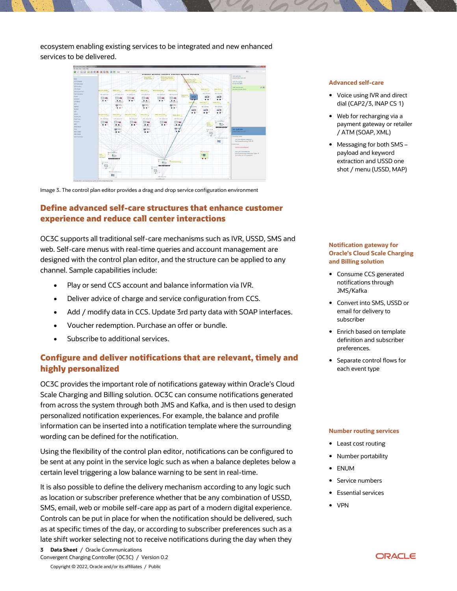ecosystem enabling existing services to be integrated and new enhanced services to be delivered.



Image 3. The control plan editor provides a drag and drop service configuration environment

# **Define advanced self-care structures that enhance customer experience and reduce call center interactions**

OC3C supports all traditional self-care mechanisms such as IVR, USSD, SMS and web. Self-care menus with real-time queries and account management are designed with the control plan editor, and the structure can be applied to any channel. Sample capabilities include:

- Play or send CCS account and balance information via IVR.
- Deliver advice of charge and service configuration from CCS.
- Add / modify data in CCS. Update 3rd party data with SOAP interfaces.
- Voucher redemption. Purchase an offer or bundle.
- Subscribe to additional services.

# **Configure and deliver notifications that are relevant, timely and highly personalized**

OC3C provides the important role of notifications gateway within Oracle's Cloud Scale Charging and Billing solution. OC3C can consume notifications generated from across the system through both JMS and Kafka, and is then used to design personalized notification experiences. For example, the balance and profile information can be inserted into a notification template where the surrounding wording can be defined for the notification.

Using the flexibility of the control plan editor, notifications can be configured to be sent at any point in the service logic such as when a balance depletes below a certain level triggering a low balance warning to be sent in real-time.

It is also possible to define the delivery mechanism according to any logic such as location or subscriber preference whether that be any combination of USSD, SMS, email, web or mobile self-care app as part of a modern digital experience. Controls can be put in place for when the notification should be delivered, such as at specific times of the day, or according to subscriber preferences such as a late shift worker selecting not to receive notifications during the day when they

#### Copyright © 2022, Oracle and/or its affiliates / Public

### **Advanced self-care**

- Voice using IVR and direct dial (CAP2/3, INAP CS 1)
- Web for recharging via a payment gateway or retailer / ATM (SOAP, XML)
- Messaging for both SMS payload and keyword extraction and USSD one shot / menu (USSD, MAP)

## **Notification gateway for Oracle's Cloud Scale Charging and Billing solution**

- Consume CCS generated notifications through JMS/Kafka
- Convert into SMS, USSD or email for delivery to subscriber
- Enrich based on template definition and subscriber preferences.
- Separate control flows for each event type

#### **Number routing services**

- Least cost routing
- Number portability
- ENUM
- Service numbers
- Essential services
- VPN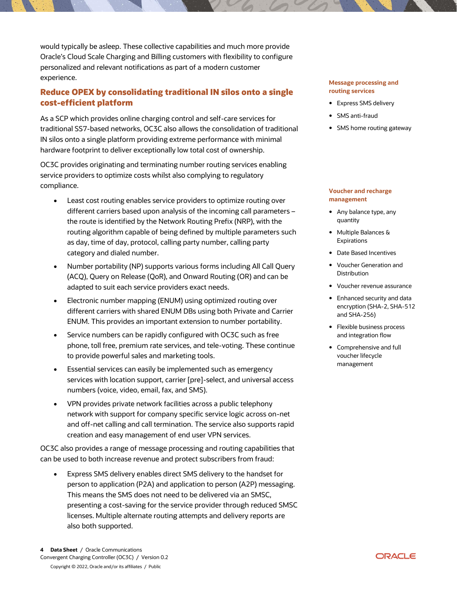would typically be asleep. These collective capabilities and much more provide Oracle's Cloud Scale Charging and Billing customers with flexibility to configure personalized and relevant notifications as part of a modern customer experience.

# **Reduce OPEX by consolidating traditional IN silos onto a single cost-efficient platform**

As a SCP which provides online charging control and self-care services for traditional SS7-based networks, OC3C also allows the consolidation of traditional IN silos onto a single platform providing extreme performance with minimal hardware footprint to deliver exceptionally low total cost of ownership.

OC3C provides originating and terminating number routing services enabling service providers to optimize costs whilst also complying to regulatory compliance.

- Least cost routing enables service providers to optimize routing over different carriers based upon analysis of the incoming call parameters – the route is identified by the Network Routing Prefix (NRP), with the routing algorithm capable of being defined by multiple parameters such as day, time of day, protocol, calling party number, calling party category and dialed number.
- Number portability (NP) supports various forms including All Call Query (ACQ), Query on Release (QoR), and Onward Routing (OR) and can be adapted to suit each service providers exact needs.
- Electronic number mapping (ENUM) using optimized routing over different carriers with shared ENUM DBs using both Private and Carrier ENUM. This provides an important extension to number portability.
- Service numbers can be rapidly configured with OC3C such as free phone, toll free, premium rate services, and tele-voting. These continue to provide powerful sales and marketing tools.
- Essential services can easily be implemented such as emergency services with location support, carrier [pre]-select, and universal access numbers (voice, video, email, fax, and SMS).
- VPN provides private network facilities across a public telephony network with support for company specific service logic across on-net and off-net calling and call termination. The service also supports rapid creation and easy management of end user VPN services.

OC3C also provides a range of message processing and routing capabilities that can be used to both increase revenue and protect subscribers from fraud:

• Express SMS delivery enables direct SMS delivery to the handset for person to application (P2A) and application to person (A2P) messaging. This means the SMS does not need to be delivered via an SMSC, presenting a cost-saving for the service provider through reduced SMSC licenses. Multiple alternate routing attempts and delivery reports are also both supported.

## **Message processing and routing services**

- Express SMS delivery
- SMS anti-fraud
- SMS home routing gateway

## **Voucher and recharge management**

- Any balance type, any quantity
- Multiple Balances & **Expirations**
- Date Based Incentives
- Voucher Generation and **Distribution**
- Voucher revenue assurance
- Enhanced security and data encryption (SHA-2, SHA-512 and SHA-256)
- Flexible business process and integration flow
- Comprehensive and full voucher lifecycle management

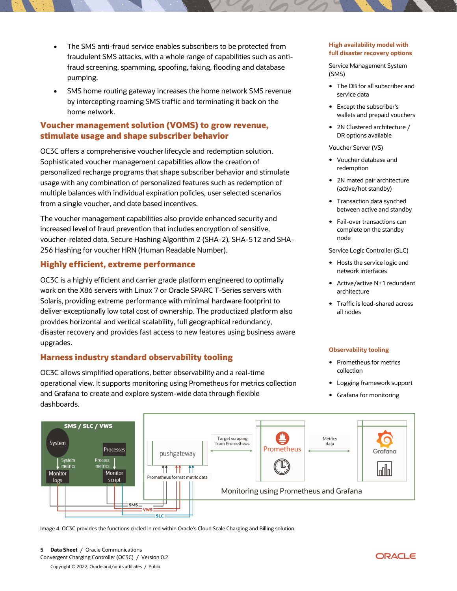- The SMS anti-fraud service enables subscribers to be protected from fraudulent SMS attacks, with a whole range of capabilities such as antifraud screening, spamming, spoofing, faking, flooding and database pumping.
- SMS home routing gateway increases the home network SMS revenue by intercepting roaming SMS traffic and terminating it back on the home network.

# **Voucher management solution (VOMS) to grow revenue, stimulate usage and shape subscriber behavior**

OC3C offers a comprehensive voucher lifecycle and redemption solution. Sophisticated voucher management capabilities allow the creation of personalized recharge programs that shape subscriber behavior and stimulate usage with any combination of personalized features such as redemption of multiple balances with individual expiration policies, user selected scenarios from a single voucher, and date based incentives.

The voucher management capabilities also provide enhanced security and increased level of fraud prevention that includes encryption of sensitive, voucher-related data, Secure Hashing Algorithm 2 (SHA-2), SHA-512 and SHA-256 Hashing for voucher HRN (Human Readable Number).

# **Highly efficient, extreme performance**

OC3C is a highly efficient and carrier grade platform engineered to optimally work on the X86 servers with Linux 7 or Oracle SPARC T-Series servers with Solaris, providing extreme performance with minimal hardware footprint to deliver exceptionally low total cost of ownership. The productized platform also provides horizontal and vertical scalability, full geographical redundancy, disaster recovery and provides fast access to new features using business aware upgrades.

# **Harness industry standard observability tooling**

OC3C allows simplified operations, better observability and a real-time operational view. It supports monitoring using Prometheus for metrics collection and Grafana to create and explore system-wide data through flexible dashboards.

## **High availability model with full disaster recovery options**

Service Management System (SMS)

- The DB for all subscriber and service data
- Except the subscriber's wallets and prepaid vouchers
- 2N Clustered architecture / DR options available

Voucher Server (VS)

- Voucher database and redemption
- 2N mated pair architecture (active/hot standby)
- Transaction data synched between active and standby
- Fail-over transactions can complete on the standby node

Service Logic Controller (SLC)

- Hosts the service logic and network interfaces
- Active/active N+1 redundant architecture
- Traffic is load-shared across all nodes

## **Observability tooling**

- Prometheus for metrics collection
- Logging framework support
- Grafana for monitoring



Image 4. OC3C provides the functions circled in red within Oracle's Cloud Scale Charging and Billing solution.